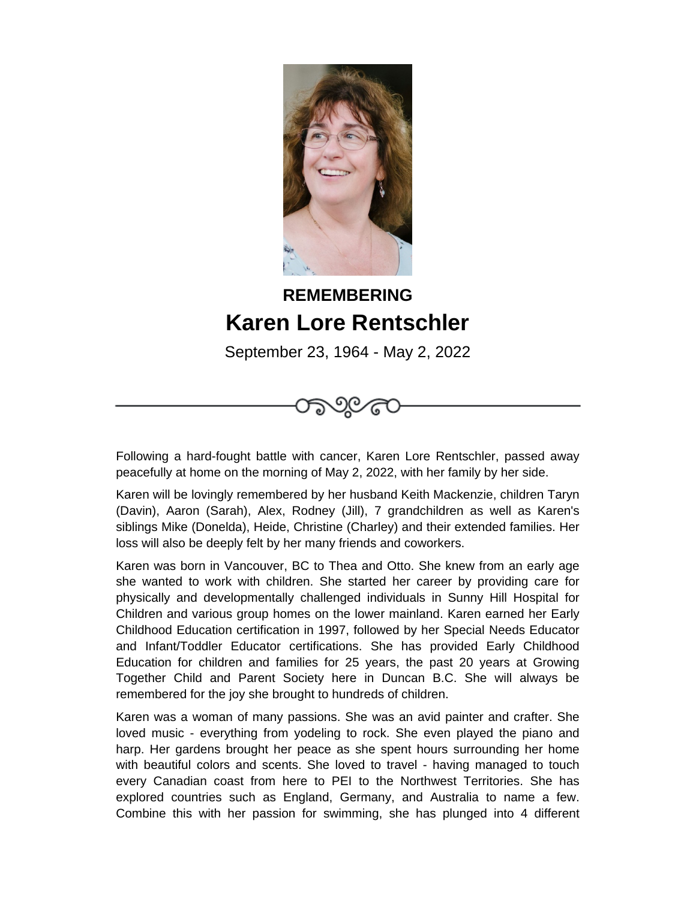

## **REMEMBERING Karen Lore Rentschler**

September 23, 1964 - May 2, 2022



Following a hard-fought battle with cancer, Karen Lore Rentschler, passed away peacefully at home on the morning of May 2, 2022, with her family by her side.

Karen will be lovingly remembered by her husband Keith Mackenzie, children Taryn (Davin), Aaron (Sarah), Alex, Rodney (Jill), 7 grandchildren as well as Karen's siblings Mike (Donelda), Heide, Christine (Charley) and their extended families. Her loss will also be deeply felt by her many friends and coworkers.

Karen was born in Vancouver, BC to Thea and Otto. She knew from an early age she wanted to work with children. She started her career by providing care for physically and developmentally challenged individuals in Sunny Hill Hospital for Children and various group homes on the lower mainland. Karen earned her Early Childhood Education certification in 1997, followed by her Special Needs Educator and Infant/Toddler Educator certifications. She has provided Early Childhood Education for children and families for 25 years, the past 20 years at Growing Together Child and Parent Society here in Duncan B.C. She will always be remembered for the joy she brought to hundreds of children.

Karen was a woman of many passions. She was an avid painter and crafter. She loved music - everything from yodeling to rock. She even played the piano and harp. Her gardens brought her peace as she spent hours surrounding her home with beautiful colors and scents. She loved to travel - having managed to touch every Canadian coast from here to PEI to the Northwest Territories. She has explored countries such as England, Germany, and Australia to name a few. Combine this with her passion for swimming, she has plunged into 4 different